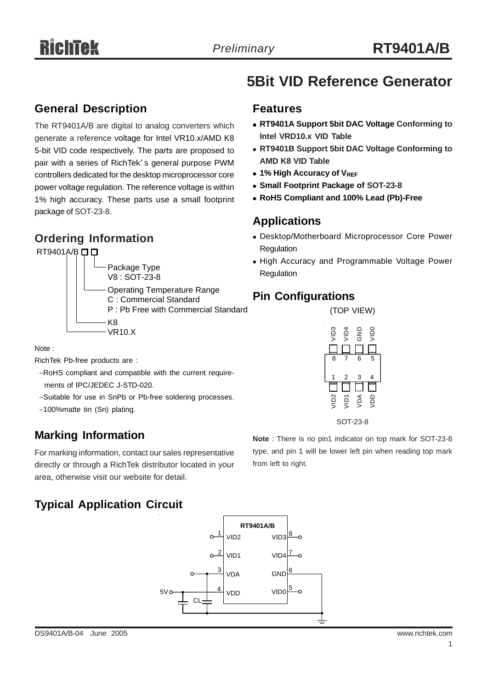### **General Description**

The RT9401A/B are digital to analog converters which generate a reference voltage for Intel VR10.x/AMD K8 5-bit VID code respectively. The parts are proposed to pair with a series of RichTek' s general purpose PWM controllers dedicated for the desktop microprocessor core power voltage regulation. The reference voltage is within 1% high accuracy. These parts use a small footprint package of SOT-23-8.

## **Ordering Information**





Note :

RichTek Pb-free products are :

- −RoHS compliant and compatible with the current require ments of IPC/JEDEC J-STD-020.
- −Suitable for use in SnPb or Pb-free soldering processes.
- −100%matte tin (Sn) plating.

## **Marking Information**

For marking information, contact our sales representative directly or through a RichTek distributor located in your area, otherwise visit our website for detail.

# **Typical Application Circuit**



# **5Bit VID Reference Generator**

#### **Features**

- <sup>z</sup> **RT9401A Support 5bit DAC Voltage Conforming to Intel VRD10.x VID Table**
- **RT9401B Support 5bit DAC Voltage Conforming to AMD K8 VID Table**
- **1% High Accuracy of VREF**
- **Small Footprint Package of SOT-23-8**
- <sup>z</sup> **RoHS Compliant and 100% Lead (Pb)-Free**

### **Applications**

- Desktop/Motherboard Microprocessor Core Power Regulation
- High Accuracy and Programmable Voltage Power Regulation

#### **Pin Configurations**



**Note** : There is no pin1 indicator on top mark for SOT-23-8 type, and pin 1 will be lower left pin when reading top mark from left to right.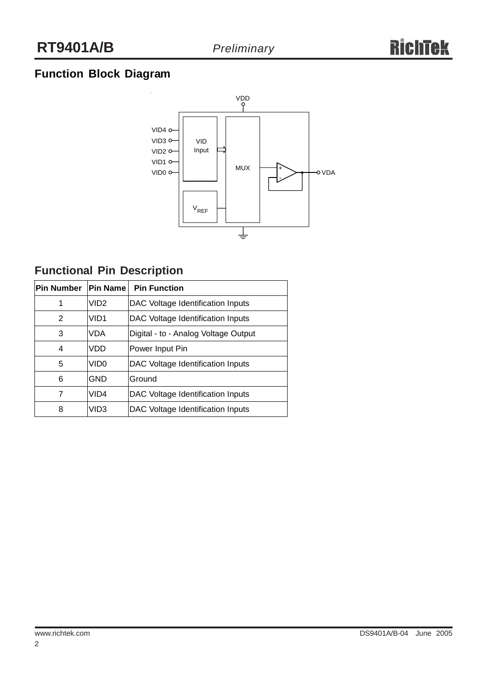# **Function Block Diagram**



# **Functional Pin Description**

| <b>Pin Number</b> | <b>Pin Name</b>  | <b>Pin Function</b>                  |  |  |  |
|-------------------|------------------|--------------------------------------|--|--|--|
|                   | VID <sub>2</sub> | DAC Voltage Identification Inputs    |  |  |  |
| 2                 | VID <sub>1</sub> | DAC Voltage Identification Inputs    |  |  |  |
| 3                 | <b>VDA</b>       | Digital - to - Analog Voltage Output |  |  |  |
| 4                 | VDD              | Power Input Pin                      |  |  |  |
| 5                 | VID0             | DAC Voltage Identification Inputs    |  |  |  |
| 6                 | GND              | Ground                               |  |  |  |
|                   | VID <sub>4</sub> | DAC Voltage Identification Inputs    |  |  |  |
| 8                 | VID3             | DAC Voltage Identification Inputs    |  |  |  |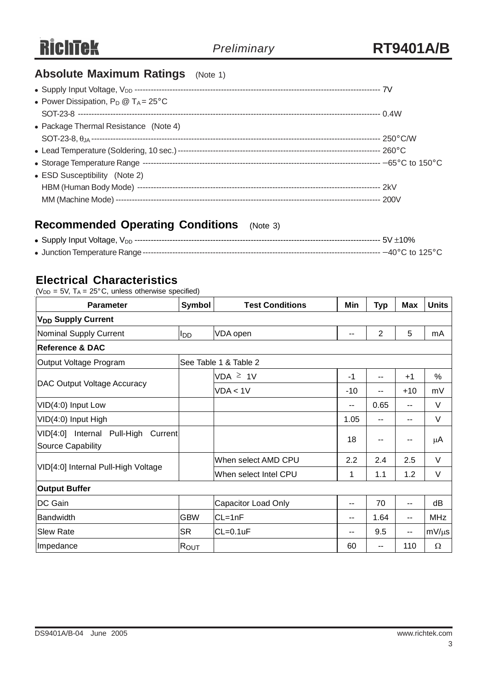# **Absolute Maximum Ratings** (Note 1)

| • Power Dissipation, $P_D @ T_A = 25^{\circ}C$ |  |
|------------------------------------------------|--|
|                                                |  |
| • Package Thermal Resistance (Note 4)          |  |
|                                                |  |
|                                                |  |
|                                                |  |
| • ESD Susceptibility (Note 2)                  |  |
|                                                |  |
|                                                |  |
|                                                |  |

# **Recommended Operating Conditions** (Note 3)

## **Electrical Characteristics**

 $(V_{DD} = 5V, T_A = 25^{\circ}C,$  unless otherwise specified)

| <b>Parameter</b>                                                   | Symbol                | <b>Test Conditions</b> | Min   | Typ            | Max           | <b>Units</b> |  |  |
|--------------------------------------------------------------------|-----------------------|------------------------|-------|----------------|---------------|--------------|--|--|
| <b>V<sub>DD</sub> Supply Current</b>                               |                       |                        |       |                |               |              |  |  |
| Nominal Supply Current                                             | l <sub>DD</sub>       | VDA open               | --    | $\overline{2}$ | 5             | mA           |  |  |
| <b>Reference &amp; DAC</b>                                         |                       |                        |       |                |               |              |  |  |
| Output Voltage Program                                             | See Table 1 & Table 2 |                        |       |                |               |              |  |  |
|                                                                    |                       | $VDA \geq 1V$          | $-1$  | --             | $+1$          | $\%$         |  |  |
| DAC Output Voltage Accuracy                                        |                       | VDA < 1V               | $-10$ | --             | $+10$         | mV           |  |  |
| VID(4:0) Input Low                                                 |                       |                        | $-$   | 0.65           | --            | V            |  |  |
| VID(4:0) Input High                                                |                       |                        | 1.05  | --             | $\sim$ $\sim$ | V            |  |  |
| VID[4:0] Internal Pull-High<br>Current<br><b>Source Capability</b> |                       |                        | 18    | --             | $-$           | $\mu$ A      |  |  |
|                                                                    |                       | When select AMD CPU    | 2.2   | 2.4            | 2.5           | V            |  |  |
| VID[4:0] Internal Pull-High Voltage                                |                       | When select Intel CPU  | 1     | 1.1            | 1.2           | V            |  |  |
| <b>Output Buffer</b>                                               |                       |                        |       |                |               |              |  |  |
| DC Gain                                                            |                       | Capacitor Load Only    | --    | 70             | $-$           | dB           |  |  |
| Bandwidth                                                          | <b>GBW</b>            | $CL=1nF$               | --    | 1.64           | $- -$         | <b>MHz</b>   |  |  |
| <b>Slew Rate</b>                                                   | <b>SR</b>             | $CL=0.1uF$             | --    | 9.5            | $\sim$ $\sim$ | $mV/\mu s$   |  |  |
| Impedance                                                          | <b>R</b> out          |                        | 60    | $-1$           | 110           | $\Omega$     |  |  |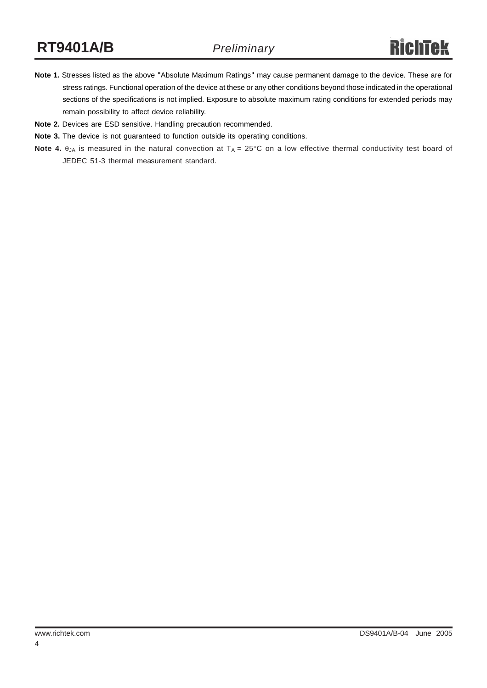- **Note 1.** Stresses listed as the above "Absolute Maximum Ratings" may cause permanent damage to the device. These are for stress ratings. Functional operation of the device at these or any other conditions beyond those indicated in the operational sections of the specifications is not implied. Exposure to absolute maximum rating conditions for extended periods may remain possibility to affect device reliability.
- **Note 2.** Devices are ESD sensitive. Handling precaution recommended.
- **Note 3.** The device is not guaranteed to function outside its operating conditions.
- **Note 4.** θ<sub>JA</sub> is measured in the natural convection at T<sub>A</sub> = 25°C on a low effective thermal conductivity test board of JEDEC 51-3 thermal measurement standard.

4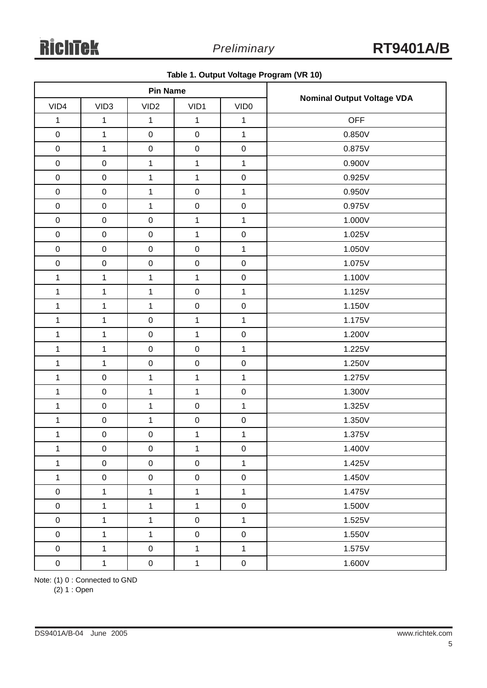|              | <b>Pin Name</b>  |                     |                  |                     |                                   |
|--------------|------------------|---------------------|------------------|---------------------|-----------------------------------|
| VID4         | VID <sub>3</sub> | VID <sub>2</sub>    | VID1             | VID <sub>0</sub>    | <b>Nominal Output Voltage VDA</b> |
| $\mathbf{1}$ | $\mathbf{1}$     | $\mathbf 1$         | 1                | 1                   | <b>OFF</b>                        |
| $\pmb{0}$    | $\mathbf{1}$     | $\pmb{0}$           | $\mathbf 0$      | $\mathbf{1}$        | 0.850V                            |
| $\mathbf 0$  | $\mathbf{1}$     | $\mathbf 0$         | $\pmb{0}$        | $\pmb{0}$           | 0.875V                            |
| $\mathbf 0$  | $\mathbf 0$      | $\mathbf{1}$        | $\mathbf 1$      | $\mathbf{1}$        | 0.900V                            |
| $\pmb{0}$    | $\mathsf 0$      | $\mathbf 1$         | $\mathbf 1$      | $\mathsf{O}\xspace$ | 0.925V                            |
| $\mathbf 0$  | $\mathsf 0$      | $\mathbf{1}$        | $\pmb{0}$        | $\mathbf{1}$        | 0.950V                            |
| $\mathbf 0$  | $\pmb{0}$        | $\mathbf{1}$        | $\mathbf 0$      | $\pmb{0}$           | 0.975V                            |
| $\pmb{0}$    | $\mathbf 0$      | $\mathbf 0$         | $\mathbf 1$      | $\mathbf{1}$        | 1.000V                            |
| $\pmb{0}$    | $\mathsf 0$      | $\pmb{0}$           | $\mathbf{1}$     | $\pmb{0}$           | 1.025V                            |
| $\mathbf 0$  | $\mathbf 0$      | $\pmb{0}$           | $\pmb{0}$        | $\mathbf{1}$        | 1.050V                            |
| $\pmb{0}$    | $\mathbf 0$      | $\pmb{0}$           | $\pmb{0}$        | $\pmb{0}$           | 1.075V                            |
| $\mathbf{1}$ | $\mathbf{1}$     | $\mathbf{1}$        | $\mathbf{1}$     | $\pmb{0}$           | 1.100V                            |
| $\mathbf{1}$ | $\mathbf{1}$     | $\mathbf{1}$        | $\pmb{0}$        | $\mathbf{1}$        | 1.125V                            |
| $\mathbf{1}$ | $\mathbf{1}$     | $\mathbf{1}$        | $\pmb{0}$        | $\pmb{0}$           | 1.150V                            |
| $\mathbf{1}$ | $\mathbf{1}$     | $\pmb{0}$           | $\mathbf{1}$     | $\mathbf{1}$        | 1.175V                            |
| $\mathbf{1}$ | $\mathbf{1}$     | $\pmb{0}$           | $\mathbf 1$      | $\pmb{0}$           | 1.200V                            |
| $\mathbf{1}$ | $\mathbf{1}$     | $\pmb{0}$           | $\pmb{0}$        | $\mathbf{1}$        | 1.225V                            |
| $\mathbf{1}$ | $\mathbf{1}$     | $\pmb{0}$           | $\pmb{0}$        | $\pmb{0}$           | 1.250V                            |
| $\mathbf{1}$ | $\mathbf 0$      | $\mathbf{1}$        | 1                | $\mathbf{1}$        | 1.275V                            |
| $\mathbf{1}$ | $\mathbf 0$      | $\mathbf 1$         | $\mathbf{1}$     | $\pmb{0}$           | 1.300V                            |
| $\mathbf{1}$ | $\mathsf 0$      | $\mathbf{1}$        | $\pmb{0}$        | $\mathbf{1}$        | 1.325V                            |
| $\mathbf{1}$ | $\mathsf 0$      | $\mathbf{1}$        | $\mathbf 0$      | $\pmb{0}$           | 1.350V                            |
| $\mathbf{1}$ | $\mathbf 0$      | $\pmb{0}$           | 1                | $\mathbf{1}$        | 1.375V                            |
| 1            | 0                | 0                   | 1                | $\pmb{0}$           | 1.400V                            |
| $\mathbf{1}$ | $\mathsf 0$      | $\pmb{0}$           | $\boldsymbol{0}$ | $\mathbf{1}$        | 1.425V                            |
| $\mathbf{1}$ | $\mathbf 0$      | $\pmb{0}$           | $\boldsymbol{0}$ | $\pmb{0}$           | 1.450V                            |
| $\pmb{0}$    | $\mathbf{1}$     | $\mathbf{1}$        | $\mathbf{1}$     | $\mathbf{1}$        | 1.475V                            |
| $\mathbf 0$  | $\mathbf{1}$     | $\mathbf{1}$        | $\mathbf{1}$     | $\mathbf 0$         | 1.500V                            |
| $\pmb{0}$    | $\mathbf{1}$     | $\mathbf{1}$        | $\boldsymbol{0}$ | $\mathbf{1}$        | 1.525V                            |
| $\pmb{0}$    | $\mathbf{1}$     | $\mathbf{1}$        | $\boldsymbol{0}$ | $\pmb{0}$           | 1.550V                            |
| $\pmb{0}$    | $\mathbf{1}$     | $\pmb{0}$           | $\mathbf{1}$     | $\mathbf{1}$        | 1.575V                            |
| $\mathbf 0$  | $\mathbf{1}$     | $\mathsf{O}\xspace$ | $\mathbf{1}$     | $\boldsymbol{0}$    | 1.600V                            |

**Table 1. Output Voltage Program (VR 10)**

Note: (1) 0 : Connected to GND

(2) 1 : Open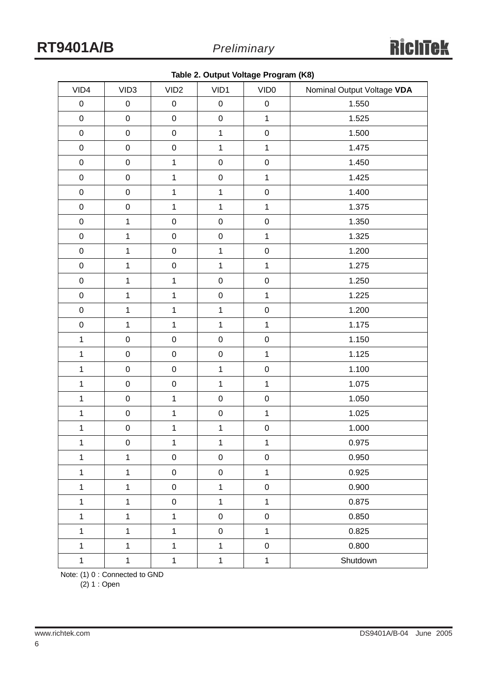| VID4         | VID <sub>3</sub> | VID <sub>2</sub> | VID1         | VID <sub>0</sub>    | Nominal Output Voltage VDA |
|--------------|------------------|------------------|--------------|---------------------|----------------------------|
| $\mathbf 0$  | $\pmb{0}$        | $\pmb{0}$        | $\pmb{0}$    | $\mathbf 0$         | 1.550                      |
| $\pmb{0}$    | $\mathbf 0$      | $\mathsf 0$      | $\mathsf 0$  | $\mathbf{1}$        | 1.525                      |
| $\mathbf 0$  | $\mathbf 0$      | $\mathbf 0$      | $\mathbf{1}$ | $\mathbf 0$         | 1.500                      |
| $\mathbf 0$  | $\mathbf 0$      | $\pmb{0}$        | $\mathbf{1}$ | $\mathbf{1}$        | 1.475                      |
| $\mathbf 0$  | $\mathbf 0$      | $\mathbf 1$      | $\mathbf 0$  | $\mathbf 0$         | 1.450                      |
| $\pmb{0}$    | $\mathbf 0$      | $\mathbf 1$      | $\pmb{0}$    | $\mathbf 1$         | 1.425                      |
| $\mathbf 0$  | $\mathbf 0$      | $\mathbf 1$      | $\mathbf{1}$ | $\mathbf 0$         | 1.400                      |
| $\pmb{0}$    | $\mathbf 0$      | $\mathbf{1}$     | $\mathbf{1}$ | $\mathbf{1}$        | 1.375                      |
| $\pmb{0}$    | $\mathbf{1}$     | $\pmb{0}$        | $\pmb{0}$    | $\mathbf 0$         | 1.350                      |
| $\pmb{0}$    | $\mathbf{1}$     | $\mathbf 0$      | $\pmb{0}$    | $\mathbf{1}$        | 1.325                      |
| $\mathbf 0$  | $\mathbf{1}$     | $\mathbf 0$      | $\mathbf{1}$ | $\mathbf 0$         | 1.200                      |
| $\pmb{0}$    | $\mathbf{1}$     | $\mathbf 0$      | $\mathbf{1}$ | $\mathbf{1}$        | 1.275                      |
| $\mathbf 0$  | $\mathbf 1$      | $\mathbf 1$      | $\mathbf 0$  | $\pmb{0}$           | 1.250                      |
| $\pmb{0}$    | $\mathbf{1}$     | $\mathbf 1$      | $\pmb{0}$    | $\mathbf{1}$        | 1.225                      |
| $\pmb{0}$    | $\mathbf{1}$     | $\mathbf 1$      | $\mathbf{1}$ | $\boldsymbol{0}$    | 1.200                      |
| $\pmb{0}$    | $\mathbf{1}$     | $\overline{1}$   | $\mathbf{1}$ | $\mathbf{1}$        | 1.175                      |
| $\mathbf{1}$ | $\mathbf 0$      | $\mathbf 0$      | $\mathbf 0$  | $\mathsf{O}\xspace$ | 1.150                      |
| $\mathbf{1}$ | $\mathbf 0$      | $\mathsf 0$      | $\mathbf 0$  | $\mathbf{1}$        | 1.125                      |
| $\mathbf{1}$ | $\mathbf 0$      | $\mathbf 0$      | $\mathbf{1}$ | $\mathbf 0$         | 1.100                      |
| $\mathbf{1}$ | $\mathbf 0$      | $\mathbf 0$      | $\mathbf{1}$ | $\mathbf{1}$        | 1.075                      |
| $\mathbf 1$  | $\mathbf 0$      | $\mathbf{1}$     | $\pmb{0}$    | $\mathsf{O}\xspace$ | 1.050                      |
| $\mathbf{1}$ | $\mathbf 0$      | $\mathbf{1}$     | $\mathbf 0$  | $\overline{1}$      | 1.025                      |
| $\mathbf{1}$ | $\mathbf 0$      | $\mathbf 1$      | $\mathbf{1}$ | $\mathbf 0$         | 1.000                      |
| $\mathbf{1}$ | $\boldsymbol{0}$ | $\mathbf{1}$     | $\mathbf{1}$ | $\mathbf{1}$        | 0.975                      |
| $\mathbf{1}$ | $\mathbf{1}$     | $\pmb{0}$        | $\pmb{0}$    | $\mathbf 0$         | 0.950                      |
| $\mathbf 1$  | $\mathbf{1}$     | $\pmb{0}$        | $\pmb{0}$    | $\mathbf{1}$        | 0.925                      |
| $\mathbf 1$  | $\mathbf{1}$     | $\pmb{0}$        | $\mathbf{1}$ | $\mathbf 0$         | 0.900                      |
| $\mathbf 1$  | $\mathbf 1$      | $\pmb{0}$        | $\mathbf{1}$ | $\mathbf{1}$        | 0.875                      |
| $\mathbf 1$  | $\mathbf{1}$     | $\mathbf{1}$     | $\mathbf 0$  | $\mathbf 0$         | 0.850                      |
| $\mathbf 1$  | $\mathbf{1}$     | $\mathbf 1$      | $\pmb{0}$    | $\mathbf{1}$        | 0.825                      |
| $\mathbf{1}$ | $\mathbf{1}$     | $\mathbf{1}$     | $\mathbf{1}$ | $\mathbf 0$         | 0.800                      |
| $\mathbf 1$  | $\mathbf 1$      | $\mathbf 1$      | $\mathbf{1}$ | $\overline{1}$      | Shutdown                   |

Note: (1) 0 : Connected to GND

 $(2) 1 :$  Open

6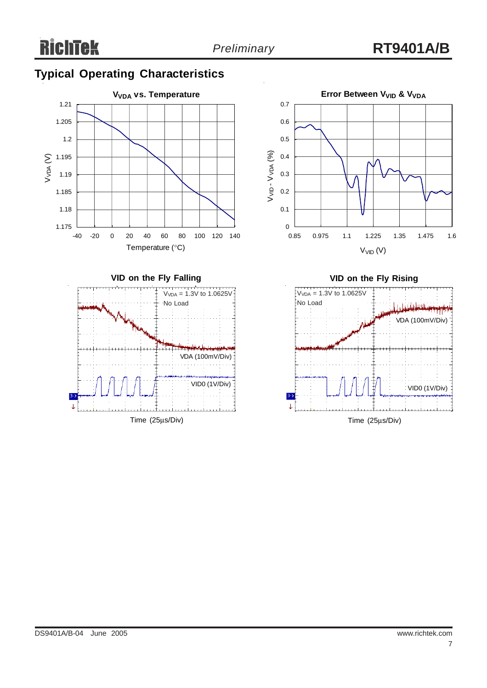# **Typical Operating Characteristics**









Time (25μs/Div)